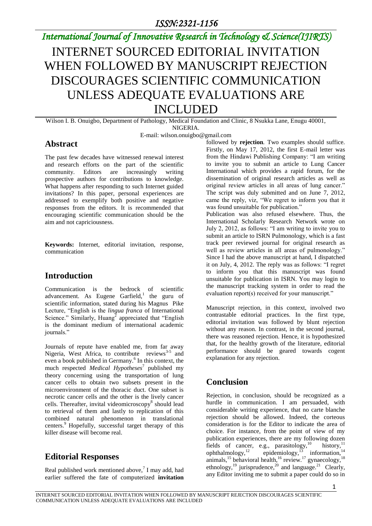*International Journal of Innovative Research in Technology & Science(IJIRTS)*

# INTERNET SOURCED EDITORIAL INVITATION WHEN FOLLOWED BY MANUSCRIPT REJECTION DISCOURAGES SCIENTIFIC COMMUNICATION UNLESS ADEQUATE EVALUATIONS ARE INCLUDED

Wilson I. B. Onuigbo, Department of Pathology, Medical Foundation and Clinic, 8 Nsukka Lane, Enugu 40001, NIGERIA.

E-mail: wilson.onuigbo@gmail.com

#### **Abstract**

The past few decades have witnessed renewal interest and research efforts on the part of the scientific community. Editors are increasingly writing prospective authors for contributions to knowledge. What happens after responding to such Internet guided invitations? In this paper, personal experiences are addressed to exemplify both positive and negative responses from the editors. It is recommended that encouraging scientific communication should be the aim and not capriciousness.

**Keywords:** Internet, editorial invitation, response, communication

# **Introduction**

Communication is the bedrock of scientific advancement. As Eugene Garfield,<sup>1</sup> the guru of scientific information, stated during his Magnus Pike Lecture, "English is the *lingua franca* of International Science." Similarly, Huang<sup>2</sup> appreciated that "English" is the dominant medium of international academic journals."

Journals of repute have enabled me, from far away Nigeria, West Africa, to contribute reviews<sup>3-5</sup> and even a book published in Germany.<sup>6</sup> In this context, the much respected *Medical Hypotheses*<sup>7</sup> published my theory concerning using the transportation of lung cancer cells to obtain two subsets present in the microenvironment of the thoracic duct. One subset is necrotic cancer cells and the other is the lively cancer cells. Thereafter, invital videomicroscopy<sup>8</sup> should lead to retrieval of them and lastly to replication of this combined natural phenomenon in translational centers.<sup>9</sup> Hopefully, successful target therapy of this killer disease will become real.

### **Editorial Responses**

Real published work mentioned above, $7 \text{ I}$  may add, had earlier suffered the fate of computerized **invitation** followed by **rejection***.* Two examples should suffice. Firstly, on May 17, 2012, the first E-mail letter was from the Hindawi Publishing Company: "I am writing to invite you to submit an article to Lung Cancer International which provides a rapid forum, for the dissemination of original research articles as well as original review articles in all areas of lung cancer." The script was duly submitted and on June 7, 2012, came the reply, viz, "We regret to inform you that it was found unsuitable for publication."

Publication was also refused elsewhere. Thus, the International Scholarly Research Network wrote on July 2, 2012, as follows: "I am writing to invite you to submit an article to ISRN Pulmonology, which is a fast track peer reviewed journal for original research as well as review articles in all areas of pulmonology." Since I had the above manuscript at hand, I dispatched it on July, 4, 2012. The reply was as follows: "I regret to inform you that this manuscript was found unsuitable for publication in ISRN. You may login to the manuscript tracking system in order to read the evaluation report(s) received for your manuscript."

Manuscript rejection, in this context, involved two contrastable editorial practices. In the first type, editorial invitation was followed by blunt rejection without any reason. In contrast, in the second journal, there was reasoned rejection. Hence, it is hypothesized that, for the healthy growth of the literature, editorial performance should be geared towards cogent explanation for any rejection.

# **Conclusion**

Rejection, in conclusion, should be recognized as a hurdle in communication. I am persuaded, with considerable writing experience, that no carte blanche rejection should be allowed. Indeed, the corteous consideration is for the Editor to indicate the area of choice. For instance, from the point of view of my publication experiences, there are my following dozen fields of cancer, e.g., parasitology,  $10$  history,  $11$ ophthalmology,<sup>12</sup> epidemiology,<sup>13</sup> information,<sup>14</sup> animals,<sup>15</sup> behavioral health,<sup>16</sup> review.<sup>17</sup> gynaecology,<sup>18</sup> ethnology,<sup>19</sup> jurisprudence,<sup>20</sup> and language.<sup>21</sup> Clearly, any Editor inviting me to submit a paper could do so in